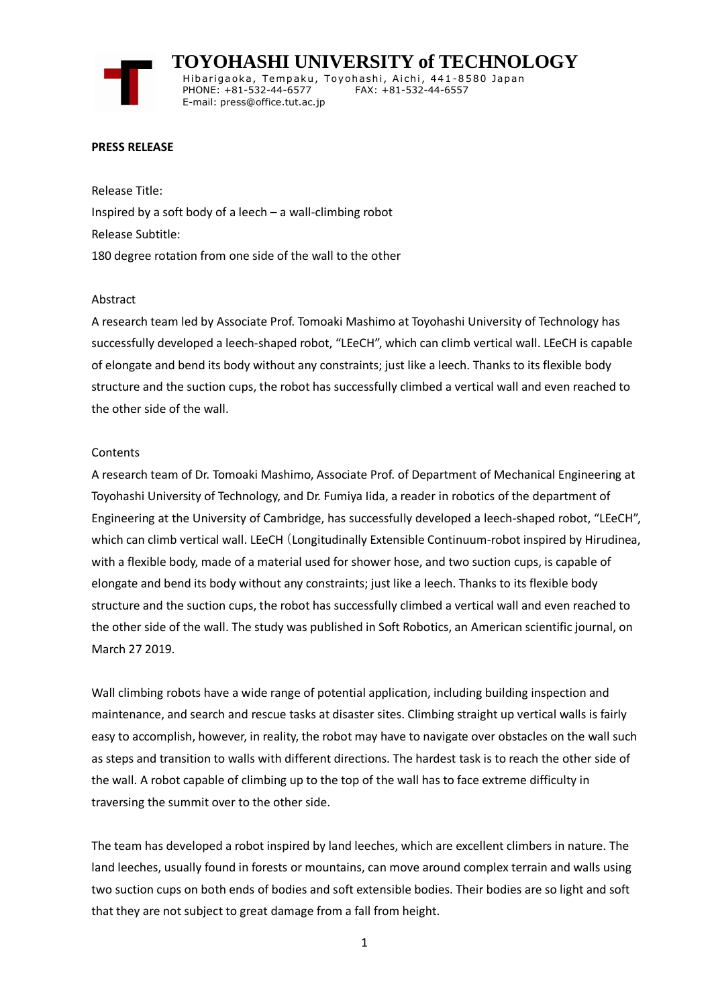**TOYOHASHI UNIVERSITY of TECHNOLOGY** Hibarigaoka, Tempaku, Toyohashi, Aichi, 441-8580 Japan PHONE: +81-532-44-6577 FAX: +81-532-44-6557 E-mail: press@office.tut.ac.jp

### **PRESS RELEASE**

Release Title: Inspired by a soft body of a leech – a wall-climbing robot Release Subtitle: 180 degree rotation from one side of the wall to the other

#### Abstract

A research team led by Associate Prof. Tomoaki Mashimo at Toyohashi University of Technology has successfully developed a leech-shaped robot, "LEeCH", which can climb vertical wall. LEeCH is capable of elongate and bend its body without any constraints; just like a leech. Thanks to its flexible body structure and the suction cups, the robot has successfully climbed a vertical wall and even reached to the other side of the wall.

### **Contents**

A research team of Dr. Tomoaki Mashimo, Associate Prof. of Department of Mechanical Engineering at Toyohashi University of Technology, and Dr. Fumiya Iida, a reader in robotics of the department of Engineering at the University of Cambridge, has successfully developed a leech-shaped robot, "LEeCH", which can climb vertical wall. LEeCH (Longitudinally Extensible Continuum-robot inspired by Hirudinea, with a flexible body, made of a material used for shower hose, and two suction cups, is capable of elongate and bend its body without any constraints; just like a leech. Thanks to its flexible body structure and the suction cups, the robot has successfully climbed a vertical wall and even reached to the other side of the wall. The study was published in Soft Robotics, an American scientific journal, on March 27 2019.

Wall climbing robots have a wide range of potential application, including building inspection and maintenance, and search and rescue tasks at disaster sites. Climbing straight up vertical walls is fairly easy to accomplish, however, in reality, the robot may have to navigate over obstacles on the wall such as steps and transition to walls with different directions. The hardest task is to reach the other side of the wall. A robot capable of climbing up to the top of the wall has to face extreme difficulty in traversing the summit over to the other side.

The team has developed a robot inspired by land leeches, which are excellent climbers in nature. The land leeches, usually found in forests or mountains, can move around complex terrain and walls using two suction cups on both ends of bodies and soft extensible bodies. Their bodies are so light and soft that they are not subject to great damage from a fall from height.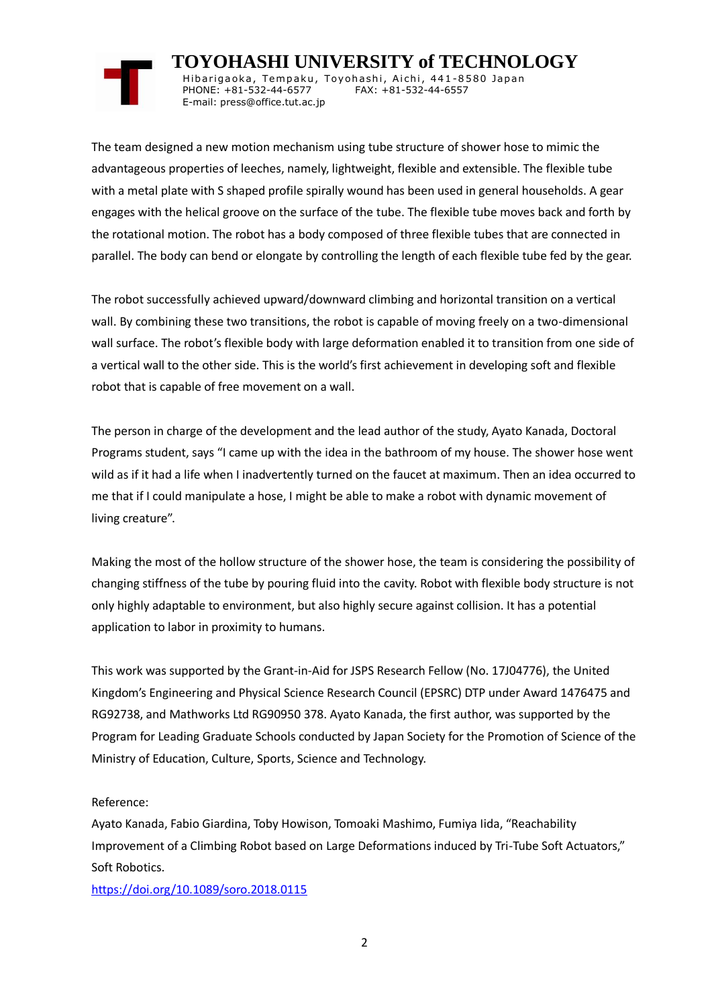# **TOYOHASHI UNIVERSITY of TECHNOLOGY**

Hibarigaoka, Tempaku, Toyohashi, Aichi, 441-8580 Japan PHONE: +81-532-44-6577 FAX: +81-532-44-6557 E-mail: press@office.tut.ac.jp

The team designed a new motion mechanism using tube structure of shower hose to mimic the advantageous properties of leeches, namely, lightweight, flexible and extensible. The flexible tube with a metal plate with S shaped profile spirally wound has been used in general households. A gear engages with the helical groove on the surface of the tube. The flexible tube moves back and forth by the rotational motion. The robot has a body composed of three flexible tubes that are connected in parallel. The body can bend or elongate by controlling the length of each flexible tube fed by the gear.

The robot successfully achieved upward/downward climbing and horizontal transition on a vertical wall. By combining these two transitions, the robot is capable of moving freely on a two-dimensional wall surface. The robot's flexible body with large deformation enabled it to transition from one side of a vertical wall to the other side. This is the world's first achievement in developing soft and flexible robot that is capable of free movement on a wall.

The person in charge of the development and the lead author of the study, Ayato Kanada, Doctoral Programs student, says "I came up with the idea in the bathroom of my house. The shower hose went wild as if it had a life when I inadvertently turned on the faucet at maximum. Then an idea occurred to me that if I could manipulate a hose, I might be able to make a robot with dynamic movement of living creature".

Making the most of the hollow structure of the shower hose, the team is considering the possibility of changing stiffness of the tube by pouring fluid into the cavity. Robot with flexible body structure is not only highly adaptable to environment, but also highly secure against collision. It has a potential application to labor in proximity to humans.

This work was supported by the Grant-in-Aid for JSPS Research Fellow (No. 17J04776), the United Kingdom's Engineering and Physical Science Research Council (EPSRC) DTP under Award 1476475 and RG92738, and Mathworks Ltd RG90950 378. Ayato Kanada, the first author, was supported by the Program for Leading Graduate Schools conducted by Japan Society for the Promotion of Science of the Ministry of Education, Culture, Sports, Science and Technology.

## Reference:

Ayato Kanada, Fabio Giardina, Toby Howison, Tomoaki Mashimo, Fumiya Iida, "Reachability Improvement of a Climbing Robot based on Large Deformations induced by Tri-Tube Soft Actuators," Soft Robotics.

<https://doi.org/10.1089/soro.2018.0115>